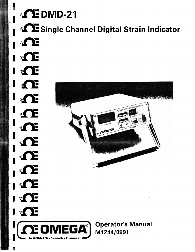*<u><b>* DMD-21</u> **Single Channel Digital Strain Indicator** 戸 **DE**  $\circledR$ ® OF ® OF **TE**  $\circledR$ **CE OMEGA** y. **I**  $\circledcirc$ ® OF **M1244/0991 MEGA®** 

I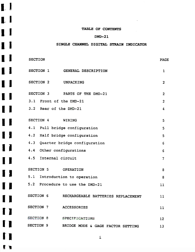### TABLE OF CONTENTS

 $\mathbf{L}$ 

 $\mathbf{L}$ 

 $\mathbf{I}$ 

 $\mathbf{I}$ 

 $\mathbf{I}$ 

 $\mathbf{I}$ 

 $\blacksquare$ 

 $\blacksquare$ 

1

11

11

11

11

11

11

11

11

t s

### DMD-21

### SINGLE CHANNEL DIGITAL STRAIN INDICATOR

| <b>SECTION</b>                                        | <b>PAGE</b>       |
|-------------------------------------------------------|-------------------|
| SECTION 1 GENERAL DESCRIPTION                         | 1                 |
| SECTION 2<br><b>UNPACKING</b>                         | $\overline{2}$    |
| SECTION 3 PARTS OF THE DMD-21                         | $\overline{2}$    |
| 3.1 Front of the DMD-21                               | $\overline{2}$    |
| 3.2 Rear of the DMD-21                                | 4                 |
| SECTION 4<br>WIRING                                   | 5                 |
| 4.1 Full bridge configuration                         | 5                 |
| 4.2 Half bridge configuration                         | 5                 |
| 4.3 Quarter bridge configuration                      | 6                 |
| 4.4 Other configurations                              | 6                 |
| 4.5 Internal circuit                                  | $\overline{7}$    |
| SECTION 5 OPERATION                                   | 8                 |
| 5.1 Introduction to operation                         | 8                 |
| 5.2 Procedure to use the DMD-21                       | 11                |
| SECTION 6<br>RECHARGEABLE BATTERIES REPLACEMENT       | 11                |
| SECTION 7<br><b>ACCESSORIES</b>                       | 11                |
| SECTION 8<br>SPECIFICATIONS                           | $12 \overline{ }$ |
| <b>SECTION 9</b><br>BRIDGE MODE & GAGE FACTOR SETTING | 13                |

i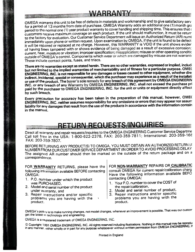# WARRANTY

**triacs. These include contact points, fuses, and warrants outside of OMEGA 's control. Components which wear or which are damaged by misuse are not**  current, heat, moisture or vibration; improper specification; misapplication; misuse or other operating conditio **itally integrately open prioric or withermoductive preserver.** This WARRANTY is VOID if the unit shows evident of having boen tampered with or shows evidence of being damaged as a result of excessive corrosion; restative Customer in a the factor of the factor of the Customer Service Department will issue an Authorized Return (AR) number **immediately** upon phone or **written request. Upon examination by OMEGA, if the unit is found to be defect rt?ceive maximum coverage on each product. If the unit should malfunction, it must be returr customers**  ( **period to tho normal one (1) year product warranty to cover handling and shipping time. This ensures that**  *for a period of 13 months from date of purchase. OMEGA Warranty adds an additional one (1) month grages are not a property of a period of 13 month grages are not a period of 13 month grages are not a period of 13 month g* **serv OMEGA warrants this unit to be free of defects in materials and workmanship and to give satisfactory**

**brench. by such indirect, incidental, special or consequential, which the purchaser may experience as a result of the installati or use of the product. The buyer 's sole remedy for any breach of this agreement by OMEGA ENGINEERIN INC. or any breach of any Warranty by OMEGA ENGINEERING, INC. shall not exceed the purchase pri paid by the purchaser to OMEGA ENGINEERING, INC. for the unit or units or equipment directly affect ENGINEERING, INC. is not responsible for any damages or losses caused to other equipment, whether dire-OME< but not limited to the implied warranties of merchantability and of fitness for a particular purpose,**  There are no warranties except as stated herein. There are no other warranties, expressed or implied, includ

**in the manual** iability for any damages that result from the use of the products in accordance with the information containst **assun-ENGINEERING, INC. neither assumes responsibility for any omissions or errors that may appear nor Every precaution for accuracy has been taken in the preparation of this manual, however, OMEC**

# RETURN REQUESTS/INQUIRIES

**203-359-7607, FAX: 1-800-622-2378, FAX: 203-359-7811; International: 203-359-166 toll fret? in the USA: Call**  Direct all warranty and repair requests/inquiries to the OMEGA ENGINEERING Customer Service Departme

The assigned AR number should then be marked on the outside of the return package and **correspondonce.** NUMBER FROM OUR CUSTOMER SERVICE DEPARTMENT (IN ORDER TO AVOID PROCESSING DELAY **(1 BEFORE RETURNING ANY PRODUCT(S) TO OMEGA, YOU MUST OBTAIN AN AUTHORIZED RETURN** 

FOR **WARRANTY** RETURNS, please have the **following information available BEFORE contacting OMEGA:**

**P-0. number under which the product 1. was PURCHASED,**

**START AND START AND START AND START** 

医心室下的 医皮肤病 医神经病 医血管性 医心理学

- **wirrranty, and under Model and serial number of the product 2.**
- **product. you are having with the problems Repair instructions and/or specific 3.**

### FOR **NON-WARRANTY** REPAIRS OR CALIBRATIC

contacting OMEGA: **charg consult OMEGA for current repair/calibration Have the following information available BEFO**

- Your **P.O. number to cover the COST of 1. the repair/calibration,**
- **Model and serial number of product,**
- **3': Repair instructions and/or specific problems you are having with the product.**

**get the latest 111 technology and engineering. Polk is to make running changes, not model changes, whenever an improvement is possible. That way our custom OMEGA's** 

t

**OMEGA** is a registered trademark of OMEGA ENGINEERING, INC.

**Ir in any manner, cjither wholly or in** pan for any **purpose whatsoever without written permission from OMEGA ENGINEERING, @** Copyright 1991 OMEGA ENGINEERING, INC. All rights reserved including illustrations. Nothing in this manual may be reproductions.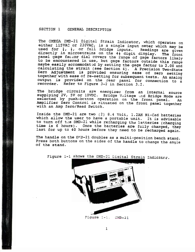### SECTION 1 GENERAL DESCRIPTION

accommodated by setting the gage factors outside this ranger to 2.00 and calculating the strain (see Section 4). A Precision **Two-State** Zero Adjustment is provided ensuring ease of zero setting<br>cogether with ease of re-setting for subsequent tests. An analog output is provided on the rear panci for connection to a recorder. Refer to Figure 3-2 in Section 3.2. to be encountered in use, but gage factors outside this range The reservation on the 42 digit display. The fr directly in microstrains on the 4<sup>1</sup> digit display. The front<br>panel gage factor dial covers the range of gage factors likely ised for  $\frac{1}{4}$ ,  $\frac{1}{2}$ , or full bridge inputs. Readings are given<br>directly in microstrains on the 41 digit display. The function is a single input meter which may ,  $\frac{1}{2}$ , or 23OVAC, used for either 115VAC or **The OMEGA DMD-21 Digital Strain Indicator, which openates** 

with an Amp Zero/Read Switch.<br>vith an Amp Zero/Read Switch Amplifier Zero Control is situated on the front panel toget. an an selected by push-button operation on the front panel. ence the Bridge Victoria of the area in the source<br>supplying 2V, 5V or 10VDC. Bridge Voltage And Bridge Mode are<br>selected by push-button operation on the front panel The bridge circuits are energized from an internal cov

to turn off the DMD-21 while recharging the batteries (charging time is 6 hours). Once the batteries are fully charged, they last for up to 40 hours before they need to be recharged again. Inside the DMD-21 are two (2)  $8.4$  Volt, 1.2AH Ni-Cad batterie which allow the user to have a portable unit. It is advisable

The handle on the DND-21 doubles as a multi-position bench state. Press both buttons on the sides of the handle to change the angle of the stand.



'igure 1-1 shows the DMD-21 Digital Strain Indicator.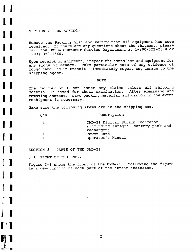SECTION 2 UNPACKING

Remove the Packing List and verify that all equipment has been received. If there are any questions about the shipment, please call the OMEGA Customer Service Department at l-800-622-2378 or (203) 359-1660.

Upon receipt of shipment, inspect the container and equipment for any signs of damage. Take particular note of any evidence of rough handling in transit. Immediately report any damage to the shipping agent.

#### NOTE

The carrier will not honor any claims unless all shipping material is saved for their examination. After examining and removing contents, **save** packing material and carton in the event reshipment is necessary.

Make sure the following items are in the shipping box.

| Description<br>Qty |  |
|--------------------|--|
|--------------------|--|

| DMD-21 Digital Strain Indicator      |  |
|--------------------------------------|--|
| (including integral battery pack and |  |
| recharger)                           |  |
| Power Cord                           |  |
| Operator's Manual                    |  |

SECTION 3 PARTS OF THE DMD-21

3.1 FRONT OF THE DMD-21

Figure 3-1 shows the front of the DMD-21. Following the figure is a description of each part of the strain indicator.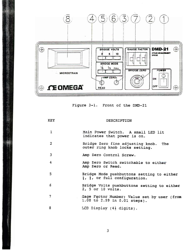

Figure 3-l. Front of the DMD-21

| KEY              | DESCRIPTION                                                                                         |
|------------------|-----------------------------------------------------------------------------------------------------|
| $\mathbf{1}$     | Main Power Switch. A small LED lit<br>indicates that power is on.                                   |
| 2                | Bridge Zero fine adjusting knob. The<br>outer ring knob locks setting.                              |
| 3                | Amp Zero Control Screw.                                                                             |
| $\boldsymbol{4}$ | Amp Zero Switch switchable to either<br>Amp Zero or Read.                                           |
| 5                | Bridge Mode pushbuttons setting to either<br>$\frac{1}{4}$ , $\frac{1}{2}$ , or full configuration. |
| 6                | Bridge Volts pushbuttons setting to either<br>2, 5 or 10 volts.                                     |
| 7                | Gage Factor Number; Value set by user (from<br>1.00 to 2.99 in 0.01 steps).                         |
| 8                | LCD Display $(4\frac{1}{2}$ digits).                                                                |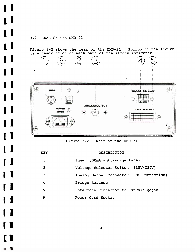#### REAR OF THE DMD-21 **3.2**

 $\mathbf{L}$ 

 $\mathbf{L}$ 

 $\mathbf{I}$ 

 $\mathbf{I}$ 

1 I

1

1

1

 $\mathbf I$ 

 $\begin{bmatrix} 1 \end{bmatrix}$ 

 $\begin{bmatrix} 1 \end{bmatrix}$ 

Figure 3-2 show is a descriptio the rear of the DMD-21. Following the figu of each part of the strain indica



Figure 3-2. Rear of the DMD-21

| <b>KEY</b> | DESCRIPTION                              |
|------------|------------------------------------------|
|            | Fuse (500mA anti-surge type)             |
| 2          | Voltage Selector Switch (115V/230V)      |
| ٦          | Analog Output Connector (BNC Connection) |
| 4          | Bridge Balance                           |
| 5          | Interface Connector for strain gages     |
| 6          | Power Cord Socket                        |

4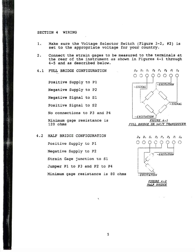### SECTION 4 WIRING

'.

- Make sure the Voltage Selector Switch (Figure 3-2, #2) is set to the appropriate voltage for your country. 1.
- Connect the strain gages to be measured to the terminals at the rear of the instrument as shown in Figures 4-l through **4-5** and as described below. 2.
- 4.1 FULL BRIDGE CONFIGURATI

Negative Signal to Sl Positive Signal to S2 No connections to P3 and P4 Minimum gage resistance is 120 ohms Positive Supply to Pl Negative Supply to P2



#### HALF BRIDGE CONFIGURATION 4.2

Jumper P1 to P3 and P2 to Minimum gage resistance is 80 ohms Strain Gage junction to Sl Positive Supply to Pl Negative Supply to P2



*FIGURE 4-2 HALF BRIDGE*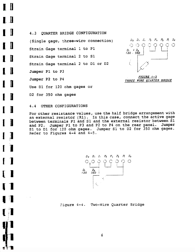Dl for 120 ohm **gages** *or* Use D2 for 350 ohm gages Jumper Pl to P Jumper P2 to P4 Strain Gage terminal 2 to D1 or D3 Strain Gage terminal 2 to Sl Strain Gage terminal 1 to Pl **4. 3** QUARTER BRIDGE CONFIGURATION (Single **gage,** three-wire connection)





4.4 OTHER CONFIGURATIONS

 $\blacksquare$ 

▌ 』

 $\blacksquare$ 

 $\blacksquare$ 

I

1

Sl to D2 for 350 ohm gages. Sl to Dl for 120 ohm gages. Jumper Refer to Figures 4-4 and 4-5. and P2. Jumper P1 to P3 and P2 to P4 on the rear panel. Jumper Pl and Sl and the external resistor between Sl  $(R1)$ . In this case, connect the active  $g$ between terminals For other resistance values, use the half bridge arrangement with an external resistor



Figure 4-4. Two-Wire Quarter Brid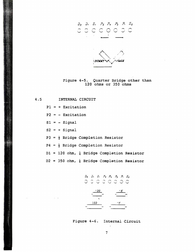

Figure 4-5. Quarter Bridge other than 120 ohms or 350 ohms

D2 = 350 ohm,  $\frac{1}{4}$  Bridge Completion Resist Dl = 120 ohm,  $\frac{1}{4}$  Bridge Completion Resist  $P4 = \frac{1}{2}$  Bridge Completion Resist  $P3 = \frac{1}{2}$  Bridge Completion Resist Sl = - Signal  $S2 = + S$ igna  $P2 = -$  Excitatio  $P1 = +$  Excitatio INTERNAL CIRCUIT 4.5

 $\omega = \omega$ 

 $D_2$   $D_3$   $S_1$   $P_2$   $P_4$   $P_3$   $P_1$   $S_2$ 350

Figure 4-6. Internal Circuit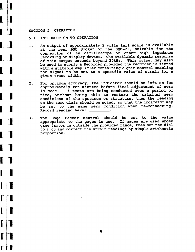### SECTION 5 OPERATIO

l-

**r**

**r**

**r**

**I**

**I**

**I**

I

**I**

**I**

I

**1.**

**1**

**1**

1

**1**

**.** 

I\_

### 5.1 INTRODUCTION TO OPERATION

- An output of approximately 2 volts full scale is available  $1.$ at the rear BNC Socket of the DMD-21, suitable for the connection of an oscilloscope or other high impedance recording or display device. The available dynamic response of this output extends beyond 20kHz. This output may al be used to supply a Recorder provided the recorder is fitted with a suitable amplifier containing a gain control enabling the signal to be set to a specific value of strain for a given trace width.
- For optimum accuracy, the indicator should be left on for  $2.$ approximately ten minutes before final adjustment of zero<br>is made. If tests are being conducted over a period of If tests are being conducted over a period of time, without being able to restore the original zero conditions of the specimen or structure, then the reading on the zero dials should be noted, so that the indicator may be set to the same zero condition when re-connecting. Record reading here: .
- The Gage Factor control should be set to the value  $3.$ appropriate to the gages in use. If gages are used whose gage factor is outside the provided range, then set the dial to 2.00 and correct the strain readings by simple arithmetic proportion.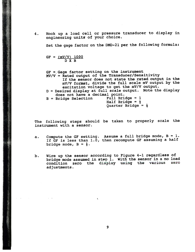**4 .** Hook up a load cell or pressure transducer to display in engineering units of your choice.

Set the gage factor on the DMD-21 per the following formula:

$$
GF = \frac{mV/V}{D X B}
$$

● 「この「この「この「この」ということ」ということになるということに、これをいうことになることになっている。

GF = Gage factor setting on the instrum

- $MV/V$  = Rated output of the Transducer/Sensitiv If the sensor does not state the rated output in the
	- excitation voltage to get the mV/V output mV/V format, divide the full scale mV output by th
- D = Desired display at full scale output. Note the display does not have a decimal point.<br>Bridge Selection Full Bridge = 1
- $B =$  Bridge Selection

4 Quarter Bridge = Half Bridge =  $\frac{1}{2}$ 

The following steps should be taken to properly scale the instrument with a sensor.

- bridge mode,  $B = \frac{1}{2}$ . a. Compute the GF setting. Assume a full bridge mode,  $B = 1$ . If GF is less than  $1.\overline{0}$ , then recompute GF assuming a half
- b. Wire up the sensor according to Figure 4-l regardless of bridge mode assumed in step 1. With the sensor in a no load condition zero the display using the various zero adjustments.

 $\mathbf{t}$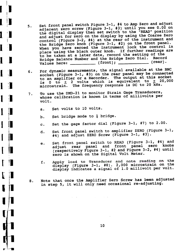- 2) on the front panel The bridge aero Anos (rigure of ry ...) we have seriously place using the black outer knob. If further readings are to be taken at a later date, record the setting of the be taken at a facer date, record the Friends. Record  $V_{\text{1}}$ luge barance  $V_{\text{2}}$  (front);  $V_{\text{2}}$  (rear).  $_{\text{ontrol}}$  (Figure 3-2, #4) at the rear of the instrument a the Bridge Zero knob (Figure 3-1, et from panse enseen segen 3-1, #3) until you see 0.00 o the digital display then set switch to the "READ" position and adjust for zero on the display by using the Coarse Zero Set front panel switch Figure 3-1, #4 to Amp Zero and adjus
- $\frac{1}{2}$  and  $\frac{1}{2}$  and  $\frac{1}{2}$  and  $\frac{1}{2}$  and  $\frac{1}{2}$  and  $\frac{1}{2}$  and  $\frac{1}{2}$  and  $\frac{1}{2}$  and  $\frac{1}{2}$  and  $\frac{1}{2}$  and  $\frac{1}{2}$  and  $\frac{1}{2}$  and  $\frac{1}{2}$  and  $\frac{1}{2}$  and  $\frac{1}{2}$  and  $\frac{1}{2}$  a  $\frac{1}{2}$  o to  $\pm$  2 volts which is equivalent to  $\pm$  20,00 of dynamic measurement, the *rear* panel may be connected to an amplifier or a Recorder. The output at this socket **6 .** For dynamic measurements, the signal available at the BNC
- monitor Strain Gage Transducers, 7. *To* use the DMD-21 to whose calibration is known in terms of millivolts per volt.
	- $int$  volts to 10 volts. **a .**

**rm**

 $\Box$ 

**rpi**

**.)I** I

**form** the mode to  $\frac{1}{2}$  bridge **b .**

 $\Delta\phi$  and  $\Delta\phi$  and  $\phi$ 

- at the gage factor dial (Figure 3-1, #7) to 2.00. *C .*
- **#3).** and adjust ZERO Screw (Figure 3-1, **#4)**  $hat$  front panel switch to amplifier ZERO (Figure 3-1, d.
- **#4) until #2** and Figure **3-2,**  (respectively Figure 3-1, **zero is shown on the Digital Volt** Meter . at front panel switch to READ (Figure 3-1, #4) and adjust rear panel and front panel zero knobs e.
- $H(8)$ . 2,000 microstrain on the display indicates a signal of 1.0 millivolt per volt. f. Apply load to Transducer and note reading on appiy foad co frans.<br>Hisplay (Figure 3-1,
- 8. Note that once the Amplifier Zero *Screw* has been adjusted in step 5, it will only need occasional re-adjusting.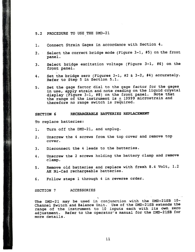### *5.2* PROCEDURE TO USE THE DMD-21

- 1. Connect Strain Gages in accordance with Section 4.
- Select the correct bridge mode (Figure 3-1, #5) on the fron panel. *2.*
- 3. Select bridge excitation voltage (Figure 3-1, #6) on the front panel.
- $\approx$  3-2, #4) accurately Refer to Step 5 in Section 5.1. 4. Set the bridge zero (Figures 3-1,
- the range of the instrument is  $\pm$  19999 microstrain and therefore no range switch is required. display (Figure 3-1, #8) on the front panel. Note t 5. Set the gage factor dial to the gage factor for the gages in use, apply strain and note reading on the liquid crystal

### SECTION 6 RECHARGEABLE BATTERIES REPLACEMENT

To replace batteries:

\*.

- 1. Turn off the DMD-21, and unplug.
- 2. Unscrew the 4 screws from the top cover and remove top cover.
- 3. Disconnect the 4 leads to the batteries.
- 4. Unscrew the 2 screws holding the battery clamp and remove clamp.
- 5. Remove old batteries and replace with fresh 8.4 Volt, 1.2 AH Ni-Cad rechargeable batteries.
- 6. Follow steps 1 through 4 in reverse order.

### SECTION 7 ACCESSORIES

adjustment. Refer to the operator's manual for the DMD-21SB for more details. range of the instrument to 10 inputs each with its own z The DMD-21 may be used in conjunction with the DMD-21SB 10-Channel Switch and Balance Unit. Use of the DMD-21SB extends the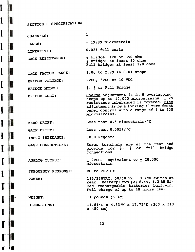SECTION 8 SPECIFICATIONS

 $\overline{L}$ 

 $\mathbf{l}$ 

L

 $\mathbf{l}$ 

 $\overline{\mathbf{l}}$ 

 $\mathbf{l}$ 

 $\mathbf{l}$ 

 $\mathbf{l}$ 

 $\mathbf I$ 

 $\mathbf I$ 

I

 $\blacksquare$ 

 $\mathbf I$ 

 $\blacksquare$ 

 $\Gamma$ 

ſ

ſ

ſ

TO

I

L

Ι

μ

I

L

L

I

μ

n

I

ļ1

Π

| CHANNELS:             | 1                                                                                                                                                                                                                                   |
|-----------------------|-------------------------------------------------------------------------------------------------------------------------------------------------------------------------------------------------------------------------------------|
| RANGE:                | + 19999 microstrain                                                                                                                                                                                                                 |
| LINEARITY:            | 0.02% full scale                                                                                                                                                                                                                    |
| GAGE RESISTANCE:      | $\frac{1}{4}$ bridge: 120 or 350 ohm<br>p bridge: at least 80 ohms<br>Full bridge: at least 120 ohms                                                                                                                                |
| GAGE FACTOR RANGE:    | 1.00 to 2.99 in 0.01 steps                                                                                                                                                                                                          |
| BRIDGE VOLTAGE:       | 2VDC, 5VDC or 10 VDC                                                                                                                                                                                                                |
| BRIDGE MODES:         | $\frac{1}{4}$ , $\frac{1}{2}$ or Full Bridge                                                                                                                                                                                        |
| BRIDGE ZERO:          | Coarse adjustment is in 9 overlapping<br>steps up to 10,000 microstrains, $\pm$ 2%<br>resistance imbalanced is covered. Fine<br>adjustment is by a locking 10 turn front<br>panel control with a range of 1 to 700<br>microstrains. |
| ZERO DRIFT:           | Less than 0.5 microstrain/°C                                                                                                                                                                                                        |
| GAIN DRIFT:           | Less than 0.005%/°C                                                                                                                                                                                                                 |
| INPUT IMPEDANCE:      | 1000 Megohms                                                                                                                                                                                                                        |
| GAGE CONNECTIONS:     | Screw terminals are at the rear and<br>provide for $\frac{1}{4}$ , $\frac{1}{2}$ or full bridge<br>connections                                                                                                                      |
| <b>ANALOG OUTPUT:</b> | $\pm$ 2VDC. Equivalent to $\pm$ 20,000<br>microstrain                                                                                                                                                                               |
| FREQUENCY RESPONSE:   | DC to 20k Hz                                                                                                                                                                                                                        |
| POWER:                | 115/230VAC, 50/60 Hz. Slide switch at<br>rear. Battery: two (2) 8.4V, 1.2 AH Ni-<br>Cad rechargeable batteries built-in.<br>Full charge of up to 40 hours use.                                                                      |
| WEIGHT:               | 11 pounds (5 kg)                                                                                                                                                                                                                    |
| DIMENSIONS:           | 11.81"L x 4.33"W x 17.72"D (300 x 110<br>$x$ 450 mm)                                                                                                                                                                                |